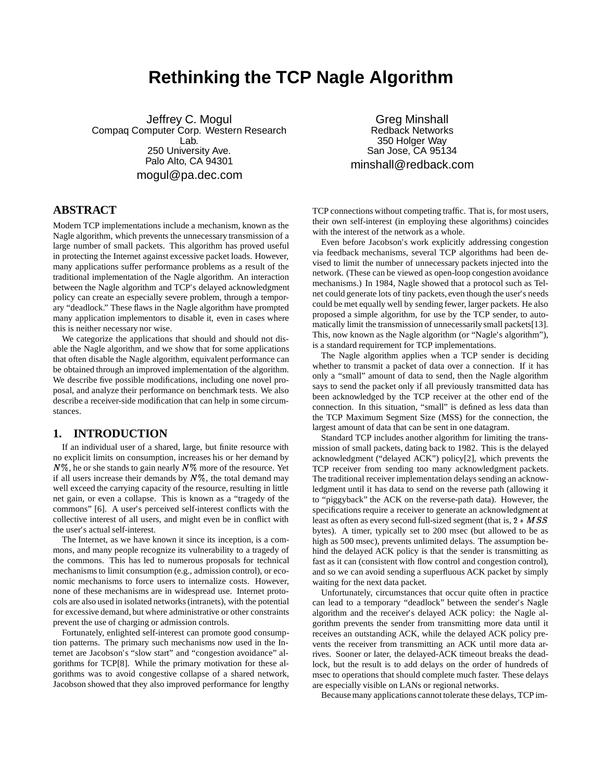# **Rethinking the TCP Nagle Algorithm**

Jeffrey C. Mogul Compaq Computer Corp. Western Research Lab. 250 University Ave. Palo Alto, CA 94301 mogul@pa.dec.com

Greg Minshall Redback Networks 350 Holger Way San Jose, CA 95134 minshall@redback.com

# **ABSTRACT**

Modern TCP implementations include a mechanism, known as the Nagle algorithm, which prevents the unnecessary transmission of a large number of small packets. This algorithm has proved useful in protecting the Internet against excessive packet loads. However, many applications suffer performance problems as a result of the traditional implementation of the Nagle algorithm. An interaction between the Nagle algorithm and TCP's delayed acknowledgment policy can create an especially severe problem, through a temporary "deadlock." These flaws in the Nagle algorithm have prompted many application implementors to disable it, even in cases where this is neither necessary nor wise.

We categorize the applications that should and should not disable the Nagle algorithm, and we show that for some applications that often disable the Nagle algorithm, equivalent performance can be obtained through an improved implementation of the algorithm. We describe five possible modifications, including one novel proposal, and analyze their performance on benchmark tests. We also describe a receiver-side modification that can help in some circumstances.

#### **1. INTRODUCTION**

If an individual user of a shared, large, but finite resource with no explicit limits on consumption, increases his or her demand by  $N\%$ , he or she stands to gain nearly  $N\%$  more of the resource. Yet if all users increase their demands by  $N\%$ , the total demand may well exceed the carrying capacity of the resource, resulting in little net gain, or even a collapse. This is known as a "tragedy of the commons" [6]. A user's perceived self-interest conflicts with the collective interest of all users, and might even be in conflict with the user's actual self-interest.

The Internet, as we have known it since its inception, is a commons, and many people recognize its vulnerability to a tragedy of the commons. This has led to numerous proposals for technical mechanisms to limit consumption (e.g., admission control), or economic mechanisms to force users to internalize costs. However, none of these mechanisms are in widespread use. Internet protocols are also used in isolated networks (intranets), with the potential for excessive demand, but where administrative or other constraints prevent the use of charging or admission controls.

Fortunately, enlighted self-interest can promote good consumption patterns. The primary such mechanisms now used in the Internet are Jacobson's "slow start" and "congestion avoidance" algorithms for TCP[8]. While the primary motivation for these algorithms was to avoid congestive collapse of a shared network, Jacobson showed that they also improved performance for lengthy

TCP connections without competing traffic. That is, for most users, their own self-interest (in employing these algorithms) coincides with the interest of the network as a whole.

Even before Jacobson's work explicitly addressing congestion via feedback mechanisms, several TCP algorithms had been devised to limit the number of unnecessary packets injected into the network. (These can be viewed as open-loop congestion avoidance mechanisms.) In 1984, Nagle showed that a protocol such as Telnet could generate lots of tiny packets, even though the user's needs could be met equally well by sending fewer, larger packets. He also proposed a simple algorithm, for use by the TCP sender, to automatically limit the transmission of unnecessarily small packets[13]. This, now known as the Nagle algorithm (or "Nagle's algorithm"), is a standard requirement for TCP implementations.

The Nagle algorithm applies when a TCP sender is deciding whether to transmit a packet of data over a connection. If it has only a "small" amount of data to send, then the Nagle algorithm says to send the packet only if all previously transmitted data has been acknowledged by the TCP receiver at the other end of the connection. In this situation, "small" is defined as less data than the TCP Maximum Segment Size (MSS) for the connection, the largest amount of data that can be sent in one datagram.

Standard TCP includes another algorithm for limiting the transmission of small packets, dating back to 1982. This is the delayed acknowledgment ("delayed ACK") policy[2], which prevents the TCP receiver from sending too many acknowledgment packets. The traditional receiver implementation delays sending an acknowledgment until it has data to send on the reverse path (allowing it to "piggyback" the ACK on the reverse-path data). However, the specifications require a receiver to generate an acknowledgment at least as often as every second full-sized segment (that is,  $2 * MSS$ bytes). A timer, typically set to 200 msec (but allowed to be as high as 500 msec), prevents unlimited delays. The assumption behind the delayed ACK policy is that the sender is transmitting as fast as it can (consistent with flow control and congestion control), and so we can avoid sending a superfluous ACK packet by simply waiting for the next data packet.

Unfortunately, circumstances that occur quite often in practice can lead to a temporary "deadlock" between the sender's Nagle algorithm and the receiver's delayed ACK policy: the Nagle algorithm prevents the sender from transmitting more data until it receives an outstanding ACK, while the delayed ACK policy prevents the receiver from transmitting an ACK until more data arrives. Sooner or later, the delayed-ACK timeout breaks the deadlock, but the result is to add delays on the order of hundreds of msec to operations that should complete much faster. These delays are especially visible on LANs or regional networks.

Because many applications cannot tolerate these delays, TCP im-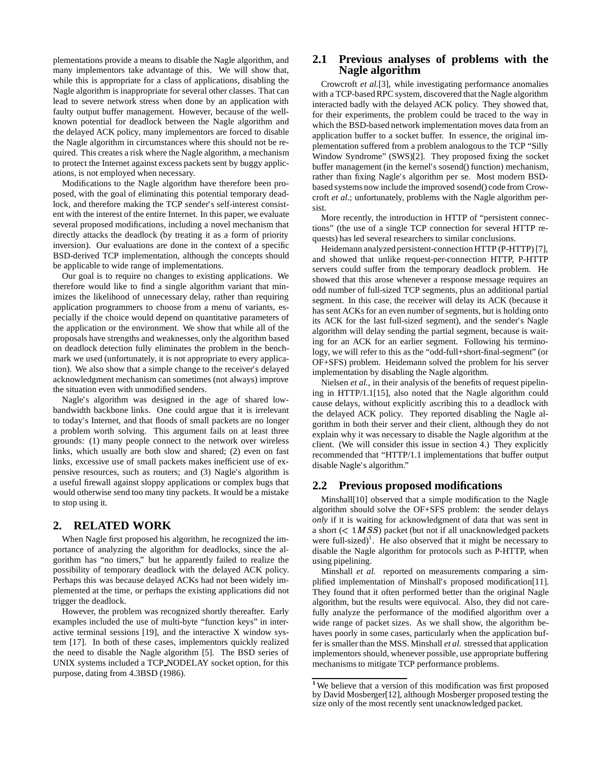plementations provide a means to disable the Nagle algorithm, and many implementors take advantage of this. We will show that, while this is appropriate for a class of applications, disabling the Nagle algorithm is inappropriate for several other classes. That can lead to severe network stress when done by an application with faulty output buffer management. However, because of the wellknown potential for deadlock between the Nagle algorithm and the delayed ACK policy, many implementors are forced to disable the Nagle algorithm in circumstances where this should not be required. This creates a risk where the Nagle algorithm, a mechanism to protect the Internet against excess packets sent by buggy applications, is not employed when necessary.

Modifications to the Nagle algorithm have therefore been proposed, with the goal of eliminating this potential temporary deadlock, and therefore making the TCP sender's self-interest consistent with the interest of the entire Internet. In this paper, we evaluate several proposed modifications, including a novel mechanism that directly attacks the deadlock (by treating it as a form of priority inversion). Our evaluations are done in the context of a specific BSD-derived TCP implementation, although the concepts should be applicable to wide range of implementations.

Our goal is to require no changes to existing applications. We therefore would like to find a single algorithm variant that minimizes the likelihood of unnecessary delay, rather than requiring application programmers to choose from a menu of variants, especially if the choice would depend on quantitative parameters of the application or the environment. We show that while all of the proposals have strengths and weaknesses, only the algorithm based on deadlock detection fully eliminates the problem in the benchmark we used (unfortunately, it is not appropriate to every application). We also show that a simple change to the receiver's delayed acknowledgment mechanism can sometimes (not always) improve the situation even with unmodified senders.

Nagle's algorithm was designed in the age of shared lowbandwidth backbone links. One could argue that it is irrelevant to today's Internet, and that floods of small packets are no longer a problem worth solving. This argument fails on at least three grounds: (1) many people connect to the network over wireless links, which usually are both slow and shared; (2) even on fast links, excessive use of small packets makes inefficient use of expensive resources, such as routers; and (3) Nagle's algorithm is a useful firewall against sloppy applications or complex bugs that would otherwise send too many tiny packets. It would be a mistake to stop using it.

## **2. RELATED WORK**

When Nagle first proposed his algorithm, he recognized the importance of analyzing the algorithm for deadlocks, since the algorithm has "no timers," but he apparently failed to realize the possibility of temporary deadlock with the delayed ACK policy. Perhaps this was because delayed ACKs had not been widely implemented at the time, or perhaps the existing applications did not trigger the deadlock.

However, the problem was recognized shortly thereafter. Early examples included the use of multi-byte "function keys" in interactive terminal sessions [19], and the interactive X window system [17]. In both of these cases, implementors quickly realized the need to disable the Nagle algorithm [5]. The BSD series of UNIX systems included a TCP NODELAY socket option, for this purpose, dating from 4.3BSD (1986).

# **2.1 Previous analyses of problems with the Nagle algorithm**

Crowcroft *et al.*[3], while investigating performance anomalies with a TCP-based RPC system, discovered that the Nagle algorithm interacted badly with the delayed ACK policy. They showed that, for their experiments, the problem could be traced to the way in which the BSD-based network implementation moves data from an application buffer to a socket buffer. In essence, the original implementation suffered from a problem analogous to the TCP "Silly Window Syndrome" (SWS)[2]. They proposed fixing the socket buffer management (in the kernel's sosend() function) mechanism, rather than fixing Nagle's algorithm per se. Most modern BSDbased systems now include the improved sosend() code from Crowcroft *et al.*; unfortunately, problems with the Nagle algorithm persist.

More recently, the introduction in HTTP of "persistent connections" (the use of a single TCP connection for several HTTP requests) has led several researchers to similar conclusions.

Heidemann analyzed persistent-connection HTTP (P-HTTP) [7], and showed that unlike request-per-connection HTTP, P-HTTP servers could suffer from the temporary deadlock problem. He showed that this arose whenever a response message requires an odd number of full-sized TCP segments, plus an additional partial segment. In this case, the receiver will delay its ACK (because it has sent ACKs for an even number of segments, but is holding onto its ACK for the last full-sized segment), and the sender's Nagle algorithm will delay sending the partial segment, because is waiting for an ACK for an earlier segment. Following his terminology, we will refer to this as the "odd-full+short-final-segment" (or OF+SFS) problem. Heidemann solved the problem for his server implementation by disabling the Nagle algorithm.

Nielsen *et al.*, in their analysis of the benefits of request pipelining in HTTP/1.1[15], also noted that the Nagle algorithm could cause delays, without explicitly ascribing this to a deadlock with the delayed ACK policy. They reported disabling the Nagle algorithm in both their server and their client, although they do not explain why it was necessary to disable the Nagle algorithm at the client. (We will consider this issue in section 4.) They explicitly recommended that "HTTP/1.1 implementations that buffer output disable Nagle's algorithm."

#### **2.2 Previous proposed modifications**

Minshall[10] observed that a simple modification to the Nagle algorithm should solve the OF+SFS problem: the sender delays *only* if it is waiting for acknowledgment of data that was sent in a short ( $\lt$  1*MSS*) packet (but not if all unacknowledged packets were full-sized)<sup>1</sup>. He also observed that it might be necessary to disable the Nagle algorithm for protocols such as P-HTTP, when using pipelining.

Minshall *et al.* reported on measurements comparing a simplified implementation of Minshall's proposed modification[11]. They found that it often performed better than the original Nagle algorithm, but the results were equivocal. Also, they did not carefully analyze the performance of the modified algorithm over a wide range of packet sizes. As we shall show, the algorithm behaves poorly in some cases, particularly when the application buffer is smaller than the MSS. Minshall *et al.* stressed that application implementors should, whenever possible, use appropriate buffering mechanisms to mitigate TCP performance problems.

<sup>&</sup>lt;sup>1</sup> We believe that a version of this modification was first proposed by David Mosberger[12], although Mosberger proposed testing the size only of the most recently sent unacknowledged packet.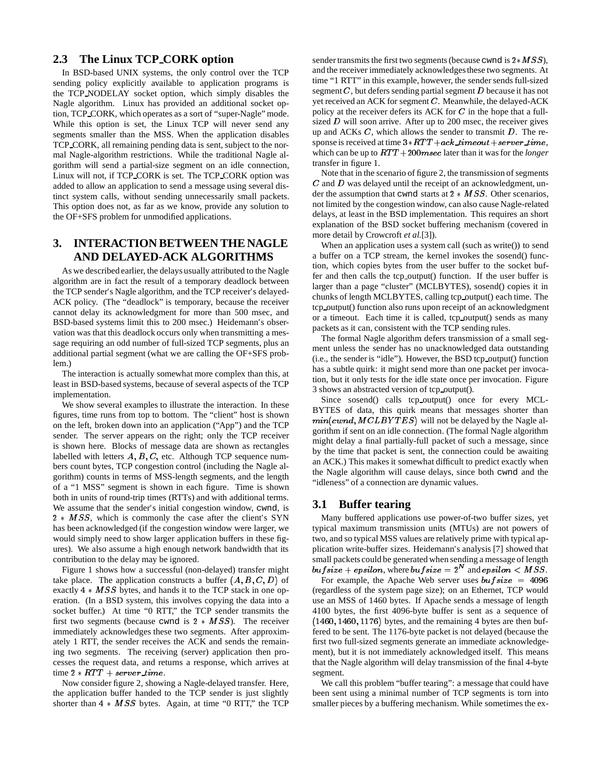## **2.3 The Linux TCP CORK option**

In BSD-based UNIX systems, the only control over the TCP sending policy explicitly available to application programs is the TCP NODELAY socket option, which simply disables the Nagle algorithm. Linux has provided an additional socket option, TCP CORK, which operates as a sort of "super-Nagle" mode. While this option is set, the Linux TCP will never send any segments smaller than the MSS. When the application disables TCP CORK, all remaining pending data is sent, subject to the normal Nagle-algorithm restrictions. While the traditional Nagle algorithm will send a partial-size segment on an idle connection, Linux will not, if TCP CORK is set. The TCP CORK option was added to allow an application to send a message using several distinct system calls, without sending unnecessarily small packets. This option does not, as far as we know, provide any solution to the OF+SFS problem for unmodified applications.

# **3. INTERACTION BETWEEN THE NAGLE AND DELAYED-ACK ALGORITHMS**

As we described earlier, the delays usually attributed to the Nagle algorithm are in fact the result of a temporary deadlock between the TCP sender's Nagle algorithm, and the TCP receiver's delayed-ACK policy. (The "deadlock" is temporary, because the receiver cannot delay its acknowledgment for more than 500 msec, and BSD-based systems limit this to 200 msec.) Heidemann's observation was that this deadlock occurs only when transmitting a message requiring an odd number of full-sized TCP segments, plus an additional partial segment (what we are calling the OF+SFS problem.)

The interaction is actually somewhat more complex than this, at least in BSD-based systems, because of several aspects of the TCP implementation.

We show several examples to illustrate the interaction. In these figures, time runs from top to bottom. The "client" host is shown on the left, broken down into an application ("App") and the TCP sender. The server appears on the right; only the TCP receiver is shown here. Blocks of message data are shown as rectangles labelled with letters  $A, B, C$ , etc. Although TCP sequence numbers count bytes, TCP congestion control (including the Nagle algorithm) counts in terms of MSS-length segments, and the length of a "1 MSS" segment is shown in each figure. Time is shown both in units of round-trip times (RTTs) and with additional terms. We assume that the sender's initial congestion window, cwnd, is  $2 * MSS$ , which is commonly the case after the client's SYN has been acknowledged (if the congestion window were larger, we would simply need to show larger application buffers in these figures). We also assume a high enough network bandwidth that its contribution to the delay may be ignored.

Figure 1 shows how a successful (non-delayed) transfer might take place. The application constructs a buffer  $(A, B, C, D)$  of exactly  $4 * MSS$  bytes, and hands it to the TCP stack in one operation. (In a BSD system, this involves copying the data into a socket buffer.) At time "0 RTT," the TCP sender transmits the first two segments (because cwnd is  $2 * MSS$ ). The receiver immediately acknowledges these two segments. After approximately 1 RTT, the sender receives the ACK and sends the remaining two segments. The receiving (server) application then processes the request data, and returns a response, which arrives at time  $2 * RTT + server_time$ .

Now consider figure 2, showing a Nagle-delayed transfer. Here, the application buffer handed to the TCP sender is just slightly shorter than  $4 * MSS$  bytes. Again, at time "0 RTT," the TCP sender transmits the first two segments (because cwnd is  $2 * MSS$ ), and the receiver immediately acknowledgesthese two segments. At time "1 RTT" in this example, however, the sender sends full-sized segment  $C$ , but defers sending partial segment  $D$  because it has not yet received an ACK for segment C. Meanwhile, the delayed-ACK policy at the receiver defers its ACK for  $C$  in the hope that a fullsized  $D$  will soon arrive. After up to 200 msec, the receiver gives up and ACKs  $C$ , which allows the sender to transmit  $D$ . The response is received at time  $3*RTT + ack_timeout+server_time$ , which can be up to  $RTT + 200msec$  later than it was for the *longer* transfer in figure 1.

Note that in the scenario of figure 2, the transmission of segments  $C$  and  $D$  was delayed until the receipt of an acknowledgment, under the assumption that cwnd starts at  $2 * MSS$ . Other scenarios, not limited by the congestion window, can also cause Nagle-related delays, at least in the BSD implementation. This requires an short explanation of the BSD socket buffering mechanism (covered in more detail by Crowcroft *et al.*[3]).

When an application uses a system call (such as write()) to send a buffer on a TCP stream, the kernel invokes the sosend() function, which copies bytes from the user buffer to the socket buffer and then calls the tcp output() function. If the user buffer is larger than a page "cluster" (MCLBYTES), sosend() copies it in chunks of length MCLBYTES, calling tcp output() each time. The tcp output() function also runs upon receipt of an acknowledgment or a timeout. Each time it is called, tcp output() sends as many packets as it can, consistent with the TCP sending rules.

The formal Nagle algorithm defers transmission of a small segment unless the sender has no unacknowledged data outstanding (i.e., the sender is "idle"). However, the BSD tcp output() function has a subtle quirk: it might send more than one packet per invocation, but it only tests for the idle state once per invocation. Figure 3 shows an abstracted version of tcp output().

Since sosend() calls tcp\_output() once for every MCL-BYTES of data, this quirk means that messages shorter than  $min(cwnd, MCLBYTES)$  will not be delayed by the Nagle algorithm if sent on an idle connection. (The formal Nagle algorithm might delay a final partially-full packet of such a message, since by the time that packet is sent, the connection could be awaiting an ACK.) This makes it somewhat difficult to predict exactly when the Nagle algorithm will cause delays, since both cwnd and the "idleness" of a connection are dynamic values.

#### **3.1 Buffer tearing**

Many buffered applications use power-of-two buffer sizes, yet typical maximum transmission units (MTUs) are not powers of two, and so typical MSS values are relatively prime with typical application write-buffer sizes. Heidemann's analysis [7] showed that small packets could be generated when sending a message of length  $\textit{buf size}+\textit{epsilon},$  where  $\textit{buf size}=2^N$  and  $\textit{epsilon}<\textit{MSS}.$ 

For example, the Apache Web server uses  $bufsize = 4096$ (regardless of the system page size); on an Ethernet, TCP would use an MSS of 1460 bytes. If Apache sends a message of length 4100 bytes, the first 4096-byte buffer is sent as a sequence of  $(1460, 1460, 1176)$  bytes, and the remaining 4 bytes are then buffered to be sent. The 1176-byte packet is not delayed (because the first two full-sized segments generate an immediate acknowledgement), but it is not immediately acknowledged itself. This means that the Nagle algorithm will delay transmission of the final 4-byte segment.

We call this problem "buffer tearing": a message that could have been sent using a minimal number of TCP segments is torn into smaller pieces by a buffering mechanism. While sometimes the ex-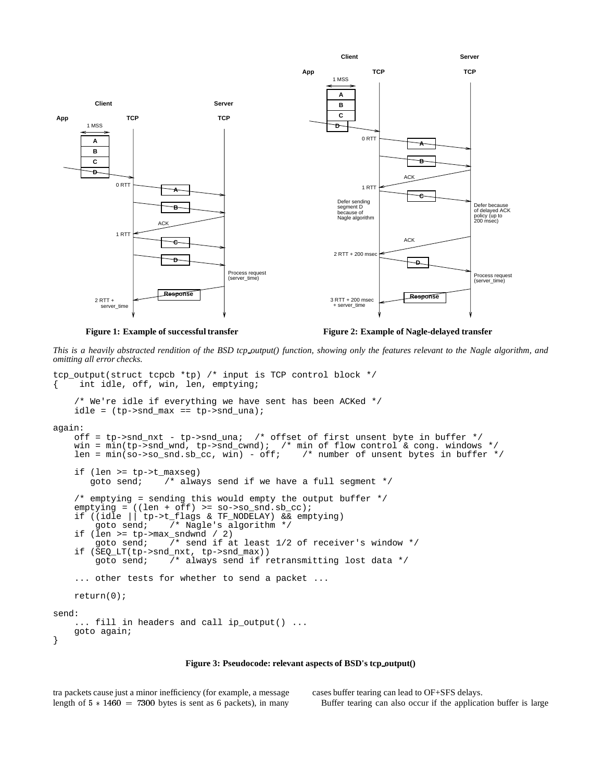

**Figure 1: Example of successful transfer**

**Figure 2: Example of Nagle-delayed transfer**

*This is a heavily abstracted rendition of the BSD tcp output() function, showing only the features relevant to the Nagle algorithm, and omitting all error checks.*

```
tcp_output(struct tcpcb *tp) /* input is TCP control block */
     int idle, off, win, len, emptying;
    /* We're idle if everything we have sent has been ACKed */
    idle = (tp->snd_max == tp->snd_name);again:
    off = tp->snd_nxt - tp->snd_una; /* offset of first unsent byte in buffer */
    win = min(tp->snd_wnd, tp->snd_cwnd); /* min of flow control & cong. windows */
    len = min(s_0->s_0\_snd.sb_cc, win) - off; /* number of unsent bytes in buffer */
    if (len >= tp->=t_maxseg)<br>qoto send; /* alwa
                       \bar{z}/* always send if we have a full segment */
    /* emptying = sending this would empty the output buffer */
    emptying = ((len + off) >= so-> so\_snd.sb_cc);if (\text{idle } || \text{tp-} > t_f \text{lags } < \text{TF_NODELAY}) & emptying)<br>qoto send; /* Naqle's algorithm */
                        \overline{y} Nagle's algorithm */
    if (len >= tp->max_sndwnd / 2)<br>goto send: /* send if a
                        /* send if at least 1/2 of receiver's window */
    if (SEQ_LT(tp->snd_nxt, tp->snd_max))
         goto send; /* always send if retransmitting lost data */
    ... other tests for whether to send a packet ...
    return(0);
send:
     ... fill in headers and call ip_output() ...
    goto again;
}
```
#### **Figure 3: Pseudocode: relevant aspects of BSD's tcp output()**

tra packets cause just a minor inefficiency (for example, a message length of  $5 * 1460 = 7300$  bytes is sent as 6 packets), in many cases buffer tearing can lead to OF+SFS delays.

Buffer tearing can also occur if the application buffer is large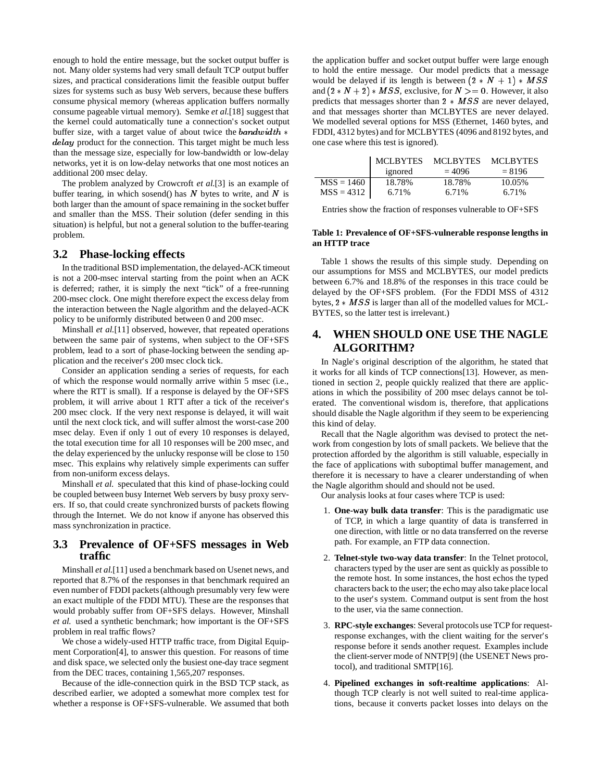enough to hold the entire message, but the socket output buffer is not. Many older systems had very small default TCP output buffer sizes, and practical considerations limit the feasible output buffer sizes for systems such as busy Web servers, because these buffers consume physical memory (whereas application buffers normally consume pageable virtual memory). Semke *et al.*[18] suggest that the kernel could automatically tune a connection's socket output buffer size, with a target value of about twice the bandwidth  $*$ delay product for the connection. This target might be much less than the message size, especially for low-bandwidth or low-delay networks, yet it is on low-delay networks that one most notices an additional 200 msec delay.

The problem analyzed by Crowcroft *et al.*[3] is an example of buffer tearing, in which sosend() has  $N$  bytes to write, and  $N$  is both larger than the amount of space remaining in the socket buffer and smaller than the MSS. Their solution (defer sending in this situation) is helpful, but not a general solution to the buffer-tearing problem.

## **3.2 Phase-locking effects**

In the traditional BSD implementation, the delayed-ACK timeout is not a 200-msec interval starting from the point when an ACK is deferred; rather, it is simply the next "tick" of a free-running 200-msec clock. One might therefore expect the excess delay from the interaction between the Nagle algorithm and the delayed-ACK policy to be uniformly distributed between 0 and 200 msec.

Minshall *et al.*[11] observed, however, that repeated operations between the same pair of systems, when subject to the OF+SFS problem, lead to a sort of phase-locking between the sending application and the receiver's 200 msec clock tick.

Consider an application sending a series of requests, for each of which the response would normally arrive within 5 msec (i.e., where the RTT is small). If a response is delayed by the OF+SFS problem, it will arrive about 1 RTT after a tick of the receiver's 200 msec clock. If the very next response is delayed, it will wait until the next clock tick, and will suffer almost the worst-case 200 msec delay. Even if only 1 out of every 10 responses is delayed, the total execution time for all 10 responses will be 200 msec, and the delay experienced by the unlucky response will be close to 150 msec. This explains why relatively simple experiments can suffer from non-uniform excess delays.

Minshall *et al.* speculated that this kind of phase-locking could be coupled between busy Internet Web servers by busy proxy servers. If so, that could create synchronized bursts of packets flowing through the Internet. We do not know if anyone has observed this mass synchronization in practice.

## **3.3 Prevalence of OF+SFS messages in Web traffic**

Minshall *et al.*[11] used a benchmark based on Usenet news, and reported that 8.7% of the responses in that benchmark required an even number of FDDI packets (although presumably very few were an exact multiple of the FDDI MTU). These are the responses that would probably suffer from OF+SFS delays. However, Minshall *et al.* used a synthetic benchmark; how important is the OF+SFS problem in real traffic flows?

We chose a widely-used HTTP traffic trace, from Digital Equipment Corporation[4], to answer this question. For reasons of time and disk space, we selected only the busiest one-day trace segment from the DEC traces, containing 1,565,207 responses.

Because of the idle-connection quirk in the BSD TCP stack, as described earlier, we adopted a somewhat more complex test for whether a response is OF+SFS-vulnerable. We assumed that both the application buffer and socket output buffer were large enough to hold the entire message. Our model predicts that a message would be delayed if its length is between  $(2 * N + 1) * MSS$ and  $(2*N+2)*MSS$ , exclusive, for  $N>=0$ . However, it also predicts that messages shorter than  $2 * MSS$  are never delayed, and that messages shorter than MCLBYTES are never delayed. We modelled several options for MSS (Ethernet, 1460 bytes, and FDDI, 4312 bytes) and for MCLBYTES (4096 and 8192 bytes, and one case where this test is ignored).

|              | <b>MCLBYTES</b> | <b>MCLBYTES</b> | <b>MCLBYTES</b> |
|--------------|-----------------|-----------------|-----------------|
|              | ignored         | $= 4096$        | $= 8196$        |
| $MSS = 1460$ | 18.78%          | 18.78%          | 10.05%          |
| $MSS = 4312$ | 6.71%           | 6.71%           | 6.71%           |

Entries show the fraction of responses vulnerable to OF+SFS

#### **Table 1: Prevalence of OF+SFS-vulnerable response lengths in an HTTP trace**

Table 1 shows the results of this simple study. Depending on our assumptions for MSS and MCLBYTES, our model predicts between 6.7% and 18.8% of the responses in this trace could be delayed by the OF+SFS problem. (For the FDDI MSS of 4312 bytes,  $2 * MSS$  is larger than all of the modelled values for MCL-BYTES, so the latter test is irrelevant.)

# **4. WHEN SHOULD ONE USE THE NAGLE ALGORITHM?**

In Nagle's original description of the algorithm, he stated that it works for all kinds of TCP connections[13]. However, as mentioned in section 2, people quickly realized that there are applications in which the possibility of 200 msec delays cannot be tolerated. The conventional wisdom is, therefore, that applications should disable the Nagle algorithm if they seem to be experiencing this kind of delay.

Recall that the Nagle algorithm was devised to protect the network from congestion by lots of small packets. We believe that the protection afforded by the algorithm is still valuable, especially in the face of applications with suboptimal buffer management, and therefore it is necessary to have a clearer understanding of when the Nagle algorithm should and should not be used.

Our analysis looks at four cases where TCP is used:

- 1. **One-way bulk data transfer**: This is the paradigmatic use of TCP, in which a large quantity of data is transferred in one direction, with little or no data transferred on the reverse path. For example, an FTP data connection.
- 2. **Telnet-style two-way data transfer**: In the Telnet protocol, characters typed by the user are sent as quickly as possible to the remote host. In some instances, the host echos the typed characters back to the user; the echo may also take place local to the user's system. Command output is sent from the host to the user, via the same connection.
- 3. **RPC-style exchanges**: Several protocols use TCP for requestresponse exchanges, with the client waiting for the server's response before it sends another request. Examples include the client-server mode of NNTP[9] (the USENET News protocol), and traditional SMTP[16].
- 4. **Pipelined exchanges in soft-realtime applications**: Although TCP clearly is not well suited to real-time applications, because it converts packet losses into delays on the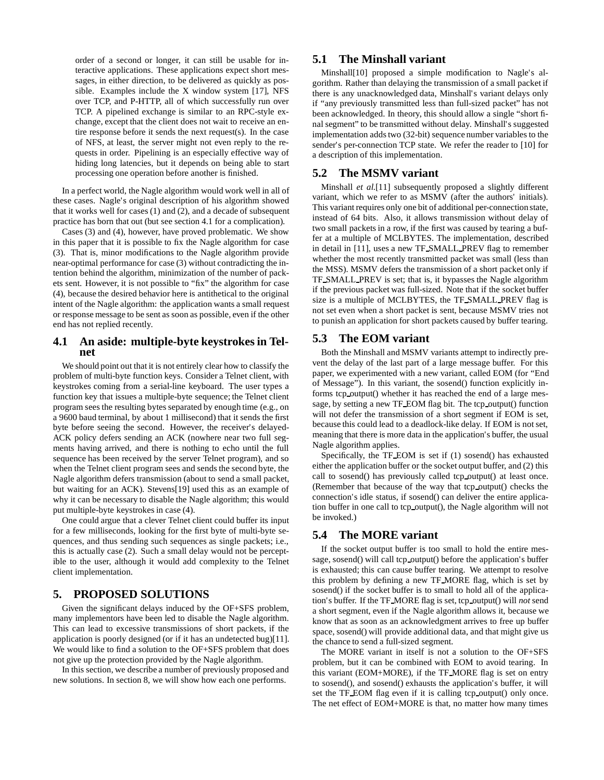order of a second or longer, it can still be usable for interactive applications. These applications expect short messages, in either direction, to be delivered as quickly as possible. Examples include the X window system [17], NFS over TCP, and P-HTTP, all of which successfully run over TCP. A pipelined exchange is similar to an RPC-style exchange, except that the client does not wait to receive an entire response before it sends the next request(s). In the case of NFS, at least, the server might not even reply to the requests in order. Pipelining is an especially effective way of hiding long latencies, but it depends on being able to start processing one operation before another is finished.

In a perfect world, the Nagle algorithm would work well in all of these cases. Nagle's original description of his algorithm showed that it works well for cases (1) and (2), and a decade of subsequent practice has born that out (but see section 4.1 for a complication).

Cases (3) and (4), however, have proved problematic. We show in this paper that it is possible to fix the Nagle algorithm for case (3). That is, minor modifications to the Nagle algorithm provide near-optimal performance for case (3) without contradicting the intention behind the algorithm, minimization of the number of packets sent. However, it is not possible to "fix" the algorithm for case (4), because the desired behavior here is antithetical to the original intent of the Nagle algorithm: the application wants a small request or response message to be sent as soon as possible, even if the other end has not replied recently.

## **4.1 An aside: multiple-byte keystrokes in Telnet**

We should point out that it is not entirely clear how to classify the problem of multi-byte function keys. Consider a Telnet client, with keystrokes coming from a serial-line keyboard. The user types a function key that issues a multiple-byte sequence; the Telnet client program sees the resulting bytes separated by enough time (e.g., on a 9600 baud terminal, by about 1 millisecond) that it sends the first byte before seeing the second. However, the receiver's delayed-ACK policy defers sending an ACK (nowhere near two full segments having arrived, and there is nothing to echo until the full sequence has been received by the server Telnet program), and so when the Telnet client program sees and sends the second byte, the Nagle algorithm defers transmission (about to send a small packet, but waiting for an ACK). Stevens[19] used this as an example of why it can be necessary to disable the Nagle algorithm; this would put multiple-byte keystrokes in case (4).

One could argue that a clever Telnet client could buffer its input for a few milliseconds, looking for the first byte of multi-byte sequences, and thus sending such sequences as single packets; i.e., this is actually case (2). Such a small delay would not be perceptible to the user, although it would add complexity to the Telnet client implementation.

## **5. PROPOSED SOLUTIONS**

Given the significant delays induced by the OF+SFS problem, many implementors have been led to disable the Nagle algorithm. This can lead to excessive transmissions of short packets, if the application is poorly designed (or if it has an undetected bug)[11]. We would like to find a solution to the OF+SFS problem that does not give up the protection provided by the Nagle algorithm.

In this section, we describe a number of previously proposed and new solutions. In section 8, we will show how each one performs.

# **5.1 The Minshall variant**

Minshall[10] proposed a simple modification to Nagle's algorithm. Rather than delaying the transmission of a small packet if there is any unacknowledged data, Minshall's variant delays only if "any previously transmitted less than full-sized packet" has not been acknowledged. In theory, this should allow a single "short final segment" to be transmitted without delay. Minshall's suggested implementation adds two (32-bit) sequence number variables to the sender's per-connection TCP state. We refer the reader to [10] for a description of this implementation.

## **5.2 The MSMV variant**

Minshall *et al.*[11] subsequently proposed a slightly different variant, which we refer to as MSMV (after the authors' initials). This variant requires only one bit of additional per-connection state, instead of 64 bits. Also, it allows transmission without delay of two small packets in a row, if the first was caused by tearing a buffer at a multiple of MCLBYTES. The implementation, described in detail in [11], uses a new TF SMALL PREV flag to remember whether the most recently transmitted packet was small (less than the MSS). MSMV defers the transmission of a short packet only if TF SMALL PREV is set; that is, it bypasses the Nagle algorithm if the previous packet was full-sized. Note that if the socket buffer size is a multiple of MCLBYTES, the TF SMALL PREV flag is not set even when a short packet is sent, because MSMV tries not to punish an application for short packets caused by buffer tearing.

## **5.3 The EOM variant**

Both the Minshall and MSMV variants attempt to indirectly prevent the delay of the last part of a large message buffer. For this paper, we experimented with a new variant, called EOM (for "End of Message"). In this variant, the sosend() function explicitly informs tcp output() whether it has reached the end of a large message, by setting a new TF EOM flag bit. The tcp output() function will not defer the transmission of a short segment if EOM is set, because this could lead to a deadlock-like delay. If EOM is not set, meaning that there is more data in the application's buffer, the usual Nagle algorithm applies.

Specifically, the TF EOM is set if (1) sosend() has exhausted either the application buffer or the socket output buffer, and (2) this call to sosend() has previously called tcp output() at least once. (Remember that because of the way that tcp output() checks the connection's idle status, if sosend() can deliver the entire application buffer in one call to tcp\_output(), the Nagle algorithm will not be invoked.)

## **5.4 The MORE variant**

If the socket output buffer is too small to hold the entire message, sosend() will call tcp output() before the application's buffer is exhausted; this can cause buffer tearing. We attempt to resolve this problem by defining a new TF MORE flag, which is set by sosend() if the socket buffer is to small to hold all of the application's buffer. If the TF MORE flag is set, tcp output() will *not* send a short segment, even if the Nagle algorithm allows it, because we know that as soon as an acknowledgment arrives to free up buffer space, sosend() will provide additional data, and that might give us the chance to send a full-sized segment.

The MORE variant in itself is not a solution to the OF+SFS problem, but it can be combined with EOM to avoid tearing. In this variant (EOM+MORE), if the TF MORE flag is set on entry to sosend(), and sosend() exhausts the application's buffer, it will set the TF EOM flag even if it is calling tcp output() only once. The net effect of EOM+MORE is that, no matter how many times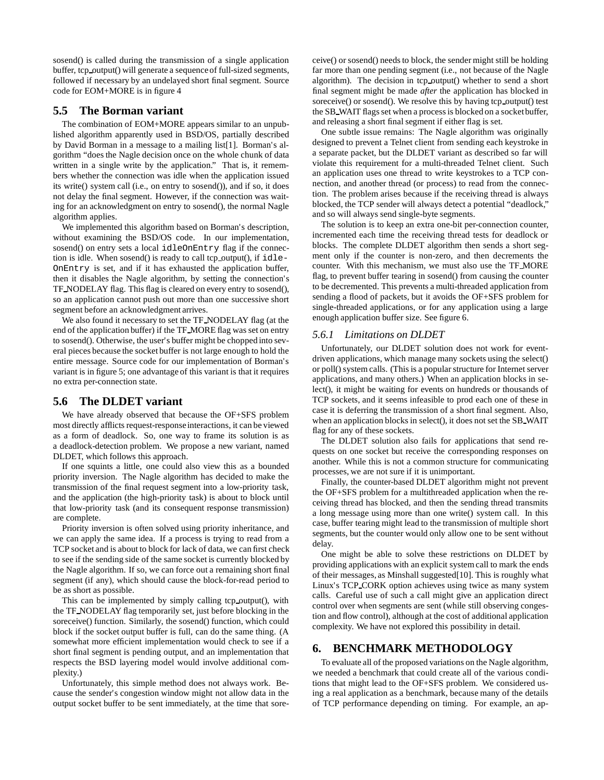sosend() is called during the transmission of a single application buffer, tcp\_output() will generate a sequence of full-sized segments, followed if necessary by an undelayed short final segment. Source code for EOM+MORE is in figure 4

## **5.5 The Borman variant**

The combination of EOM+MORE appears similar to an unpublished algorithm apparently used in BSD/OS, partially described by David Borman in a message to a mailing list[1]. Borman's algorithm "does the Nagle decision once on the whole chunk of data written in a single write by the application." That is, it remembers whether the connection was idle when the application issued its write() system call (i.e., on entry to sosend()), and if so, it does not delay the final segment. However, if the connection was waiting for an acknowledgment on entry to sosend(), the normal Nagle algorithm applies.

We implemented this algorithm based on Borman's description, without examining the BSD/OS code. In our implementation, sosend() on entry sets a local idleOnEntry flag if the connection is idle. When sosend() is ready to call tcp output(), if idle-OnEntry is set, and if it has exhausted the application buffer, then it disables the Nagle algorithm, by setting the connection's TF NODELAY flag. This flag is cleared on every entry to sosend(), so an application cannot push out more than one successive short segment before an acknowledgment arrives.

We also found it necessary to set the TF NODELAY flag (at the end of the application buffer) if the TF MORE flag was set on entry to sosend(). Otherwise, the user's buffer might be chopped into several pieces because the socket buffer is not large enough to hold the entire message. Source code for our implementation of Borman's variant is in figure 5; one advantage of this variant is that it requires no extra per-connection state.

## **5.6 The DLDET variant**

We have already observed that because the OF+SFS problem most directly afflicts request-responseinteractions, it can be viewed as a form of deadlock. So, one way to frame its solution is as a deadlock-detection problem. We propose a new variant, named DLDET, which follows this approach.

If one squints a little, one could also view this as a bounded priority inversion. The Nagle algorithm has decided to make the transmission of the final request segment into a low-priority task, and the application (the high-priority task) is about to block until that low-priority task (and its consequent response transmission) are complete.

Priority inversion is often solved using priority inheritance, and we can apply the same idea. If a process is trying to read from a TCP socket and is about to block for lack of data, we can first check to see if the sending side of the same socket is currently blocked by the Nagle algorithm. If so, we can force out a remaining short final segment (if any), which should cause the block-for-read period to be as short as possible.

This can be implemented by simply calling tcp output(), with the TF NODELAY flag temporarily set, just before blocking in the soreceive() function. Similarly, the sosend() function, which could block if the socket output buffer is full, can do the same thing. (A somewhat more efficient implementation would check to see if a short final segment is pending output, and an implementation that respects the BSD layering model would involve additional complexity.)

Unfortunately, this simple method does not always work. Because the sender's congestion window might not allow data in the output socket buffer to be sent immediately, at the time that soreceive() or sosend() needs to block, the sender might still be holding far more than one pending segment (i.e., not because of the Nagle algorithm). The decision in tcp output() whether to send a short final segment might be made *after* the application has blocked in soreceive() or sosend(). We resolve this by having tcp\_output() test the SB WAIT flags set when a process is blocked on a socketbuffer, and releasing a short final segment if either flag is set.

One subtle issue remains: The Nagle algorithm was originally designed to prevent a Telnet client from sending each keystroke in a separate packet, but the DLDET variant as described so far will violate this requirement for a multi-threaded Telnet client. Such an application uses one thread to write keystrokes to a TCP connection, and another thread (or process) to read from the connection. The problem arises because if the receiving thread is always blocked, the TCP sender will always detect a potential "deadlock," and so will always send single-byte segments.

The solution is to keep an extra one-bit per-connection counter, incremented each time the receiving thread tests for deadlock or blocks. The complete DLDET algorithm then sends a short segment only if the counter is non-zero, and then decrements the counter. With this mechanism, we must also use the TF MORE flag, to prevent buffer tearing in sosend() from causing the counter to be decremented. This prevents a multi-threaded application from sending a flood of packets, but it avoids the OF+SFS problem for single-threaded applications, or for any application using a large enough application buffer size. See figure 6.

#### *5.6.1 Limitations on DLDET*

Unfortunately, our DLDET solution does not work for eventdriven applications, which manage many sockets using the select() or poll() system calls. (This is a popular structure for Internet server applications, and many others.) When an application blocks in select(), it might be waiting for events on hundreds or thousands of TCP sockets, and it seems infeasible to prod each one of these in case it is deferring the transmission of a short final segment. Also, when an application blocks in select(), it does not set the SB WAIT flag for any of these sockets.

The DLDET solution also fails for applications that send requests on one socket but receive the corresponding responses on another. While this is not a common structure for communicating processes, we are not sure if it is unimportant.

Finally, the counter-based DLDET algorithm might not prevent the OF+SFS problem for a multithreaded application when the receiving thread has blocked, and then the sending thread transmits a long message using more than one write() system call. In this case, buffer tearing might lead to the transmission of multiple short segments, but the counter would only allow one to be sent without delay.

One might be able to solve these restrictions on DLDET by providing applications with an explicit system call to mark the ends of their messages, as Minshall suggested[10]. This is roughly what Linux's TCP CORK option achieves using twice as many system calls. Careful use of such a call might give an application direct control over when segments are sent (while still observing congestion and flow control), although at the cost of additional application complexity. We have not explored this possibility in detail.

## **6. BENCHMARK METHODOLOGY**

To evaluate all of the proposed variations on the Nagle algorithm, we needed a benchmark that could create all of the various conditions that might lead to the OF+SFS problem. We considered using a real application as a benchmark, because many of the details of TCP performance depending on timing. For example, an ap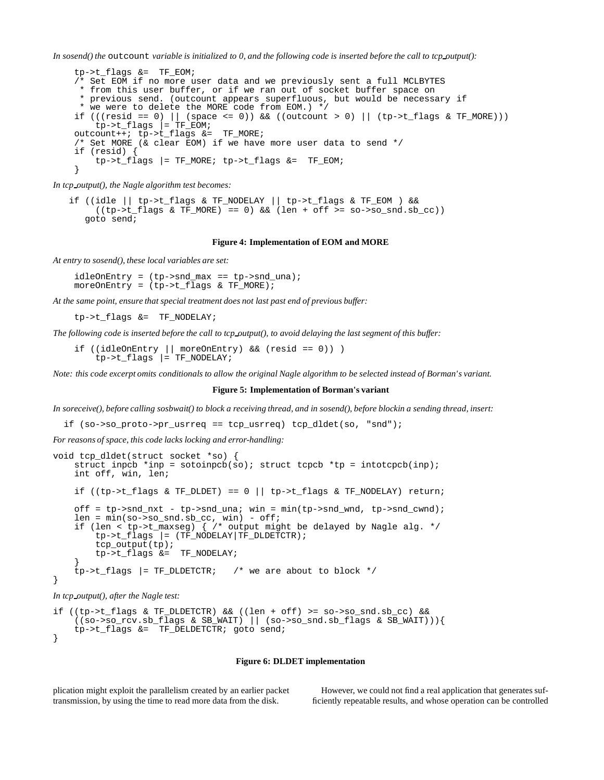*In sosend() the* outcount *variable is initialized to 0, and the following code is inserted before the call to tcp\_output():* 

```
tp->t_flags &= TF_EOM;
 .<br>* Set EOM if no more user data and we previously sent a full MCLBYTES
* from this user buffer, or if we ran out of socket buffer space on
  previous send. (outcount appears superfluous, but would be necessary if
 * we were to delete the MORE code from EOM.) */
if (((resid == 0) || (space <= 0)) && ((outcount > 0) || (tp->t_flags & TF_MORE)))<br>
tp->t_flags |= TF_EOM;<br>
outcount++; tp->t_flags &= TF_MORE;
outcount++; tp->t_flags &=
/* Set MORE (& clear EOM) if we have more user data to send */
if (resid) {
tp->t_flags |= TF_MORE; tp->t_flags &= TF_EOM; }
```
*In tcp output(), the Nagle algorithm test becomes:*

```
if ((idle || tp->t_flags & TF_NODELAY || tp->t_flags & TF_EOM ) &&
    ((tp->t_f1) and xF_MORE) == 0 &&(len + off >= so->so_snd.sh_cc)goto send;
```
#### **Figure 4: Implementation of EOM and MORE**

*At entry to sosend(), these local variables are set:*

 $idleOnEntry = (tp->snd_max == tp->snd_name);$  $moreOnEntry = (tp-> t_f lags \& TF_MORE);$ 

*At the same point, ensure that special treatment does not last past end of previous buffer:*

tp->t\_flags &= TF\_NODELAY;

*The following code is inserted before the call to tcp output(), to avoid delaying the last segment of this buffer:*

if ((idleOnEntry  $||$  moreOnEntry) && (resid == 0)) )<br>tp->t\_flags  $|$ = TF\_NODELAY;

*Note: this code excerpt omits conditionals to allow the original Nagle algorithm to be selected instead of Borman's variant.*

#### **Figure 5: Implementation of Borman's variant**

*In soreceive(), before calling sosbwait() to block a receiving thread, and in sosend(), before blockin a sending thread, insert:*

if (so->so proto->pr usrreq == tcp usrreq) tcp dldet(so, "snd");

*For reasons of space, this code lacks locking and error-handling:*

```
void tcp_dldet(struct socket *so) {
    struct inpcb *inp = sotoinpeb(so); struct tcpcb *tp = intotceb(inp);
    int off, win, len;
    if ((tp->t_flags & TF_DLDET) == 0 || tp->t_flags & TF_NODELAY) return;
    off = tp->snd_nxt - tp->snd_una; win = min(tp->snd_wnd, tp->snd_cwnd);
    len = min(s_0->s_0\_snd.sb_cc, win) - off;if (len < tp->t_maxseg) { /* output might be delayed by Nagle alg. */
        tp->t_flags |= (TF_NODELAY|TF_DLDETCTR);
        tcp_output(tp);
        tp->t_flags &= TF_NODELAY;
    }
    tp->t_flags |= TF_DLDETCTR; /* we are about to block */
}
```
*In tcp output(), after the Nagle test:*

```
if ((tp->t_flags & TF_DLDETCTR) && ((len + off) >= so->so_snd.sb_cc) &&
    ((so->so\_rcv.sh_flags & SB_WAIT) | | (so->so_snd.sh_flags & SB_WAIT)))tp->t_flags &= TF_DELDETCTR; goto send;
}
```
#### **Figure 6: DLDET implementation**

plication might exploit the parallelism created by an earlier packet transmission, by using the time to read more data from the disk.

However, we could not find a real application that generates sufficiently repeatable results, and whose operation can be controlled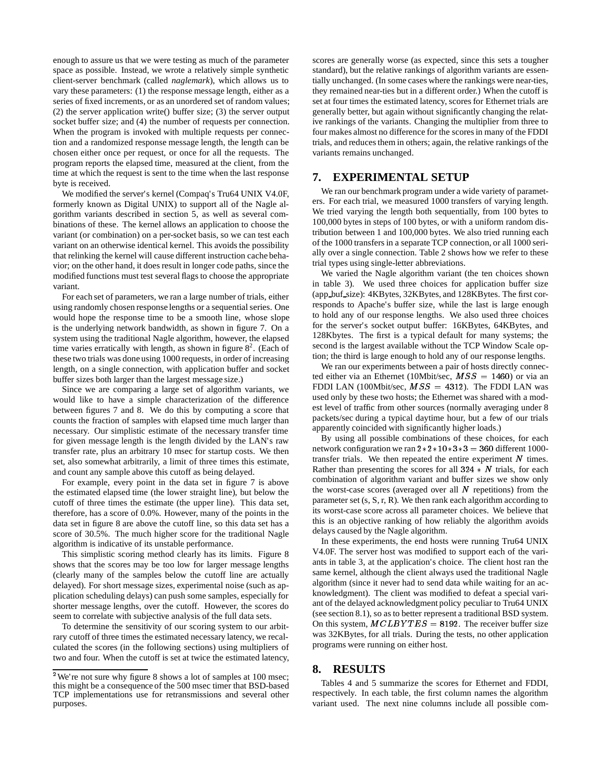enough to assure us that we were testing as much of the parameter space as possible. Instead, we wrote a relatively simple synthetic client-server benchmark (called *naglemark*), which allows us to vary these parameters: (1) the response message length, either as a series of fixed increments, or as an unordered set of random values; (2) the server application write() buffer size; (3) the server output socket buffer size; and (4) the number of requests per connection. When the program is invoked with multiple requests per connection and a randomized response message length, the length can be chosen either once per request, or once for all the requests. The program reports the elapsed time, measured at the client, from the time at which the request is sent to the time when the last response byte is received.

We modified the server's kernel (Compaq's Tru64 UNIX V4.0F, formerly known as Digital UNIX) to support all of the Nagle algorithm variants described in section 5, as well as several combinations of these. The kernel allows an application to choose the variant (or combination) on a per-socket basis, so we can test each variant on an otherwise identical kernel. This avoids the possibility that relinking the kernel will cause different instruction cache behavior; on the other hand, it does result in longer code paths, since the modified functions must test several flags to choose the appropriate variant.

For each set of parameters, we ran a large number of trials, either using randomly chosen response lengths or a sequential series. One would hope the response time to be a smooth line, whose slope is the underlying network bandwidth, as shown in figure 7. On a system using the traditional Nagle algorithm, however, the elapsed time varies erratically with length, as shown in figure  $8<sup>2</sup>$ . (Each of these two trials was done using 1000 requests, in order of increasing length, on a single connection, with application buffer and socket buffer sizes both larger than the largest message size.)

Since we are comparing a large set of algorithm variants, we would like to have a simple characterization of the difference between figures 7 and 8. We do this by computing a score that counts the fraction of samples with elapsed time much larger than necessary. Our simplistic estimate of the necessary transfer time for given message length is the length divided by the LAN's raw transfer rate, plus an arbitrary 10 msec for startup costs. We then set, also somewhat arbitrarily, a limit of three times this estimate, and count any sample above this cutoff as being delayed.

For example, every point in the data set in figure 7 is above the estimated elapsed time (the lower straight line), but below the cutoff of three times the estimate (the upper line). This data set, therefore, has a score of 0.0%. However, many of the points in the data set in figure 8 are above the cutoff line, so this data set has a score of 30.5%. The much higher score for the traditional Nagle algorithm is indicative of its unstable performance.

This simplistic scoring method clearly has its limits. Figure 8 shows that the scores may be too low for larger message lengths (clearly many of the samples below the cutoff line are actually delayed). For short message sizes, experimental noise (such as application scheduling delays) can push some samples, especially for shorter message lengths, over the cutoff. However, the scores do seem to correlate with subjective analysis of the full data sets.

To determine the sensitivity of our scoring system to our arbitrary cutoff of three times the estimated necessary latency, we recalculated the scores (in the following sections) using multipliers of two and four. When the cutoff is set at twice the estimated latency,

scores are generally worse (as expected, since this sets a tougher standard), but the relative rankings of algorithm variants are essentially unchanged. (In some cases where the rankings were near-ties, they remained near-ties but in a different order.) When the cutoff is set at four times the estimated latency, scores for Ethernet trials are generally better, but again without significantly changing the relative rankings of the variants. Changing the multiplier from three to four makes almost no difference for the scores in many of the FDDI trials, and reduces them in others; again, the relative rankings of the variants remains unchanged.

# **7. EXPERIMENTAL SETUP**

We ran our benchmark program under a wide variety of parameters. For each trial, we measured 1000 transfers of varying length. We tried varying the length both sequentially, from 100 bytes to 100,000 bytes in steps of 100 bytes, or with a uniform random distribution between 1 and 100,000 bytes. We also tried running each of the 1000 transfers in a separate TCP connection, or all 1000 serially over a single connection. Table 2 shows how we refer to these trial types using single-letter abbreviations.

We varied the Nagle algorithm variant (the ten choices shown in table 3). We used three choices for application buffer size (app buf size): 4KBytes, 32KBytes, and 128KBytes. The first corresponds to Apache's buffer size, while the last is large enough to hold any of our response lengths. We also used three choices for the server's socket output buffer: 16KBytes, 64KBytes, and 128Kbytes. The first is a typical default for many systems; the second is the largest available without the TCP Window Scale option; the third is large enough to hold any of our response lengths.

We ran our experiments between a pair of hosts directly connected either via an Ethernet (10Mbit/sec,  $MSS = 1460$ ) or via an FDDI LAN (100Mbit/sec,  $MSS = 4312$ ). The FDDI LAN was used only by these two hosts; the Ethernet was shared with a modest level of traffic from other sources (normally averaging under 8 packets/sec during a typical daytime hour, but a few of our trials apparently coincided with significantly higher loads.)

By using all possible combinations of these choices, for each network configuration we ran  $2 \times 2 \times 10 \times 3 \times 3 = 360$  different 1000transfer trials. We then repeated the entire experiment  $N$  times. Rather than presenting the scores for all  $324 * N$  trials, for each combination of algorithm variant and buffer sizes we show only the worst-case scores (averaged over all  $N$  repetitions) from the parameter set (s, S, r, R). We then rank each algorithm according to its worst-case score across all parameter choices. We believe that this is an objective ranking of how reliably the algorithm avoids delays caused by the Nagle algorithm.

In these experiments, the end hosts were running Tru64 UNIX V4.0F. The server host was modified to support each of the variants in table 3, at the application's choice. The client host ran the same kernel, although the client always used the traditional Nagle algorithm (since it never had to send data while waiting for an acknowledgment). The client was modified to defeat a special variant of the delayed acknowledgment policy peculiar to Tru64 UNIX (see section 8.1), so as to better represent a traditional BSD system. On this system,  $MCLBYTES = 8192$ . The receiver buffer size was 32KBytes, for all trials. During the tests, no other application programs were running on either host.

#### **8. RESULTS**

Tables 4 and 5 summarize the scores for Ethernet and FDDI, respectively. In each table, the first column names the algorithm variant used. The next nine columns include all possible com-

<sup>&</sup>lt;sup>2</sup>We're not sure why figure 8 shows a lot of samples at 100 msec; this might be a consequence of the 500 msec timer that BSD-based TCP implementations use for retransmissions and several other purposes.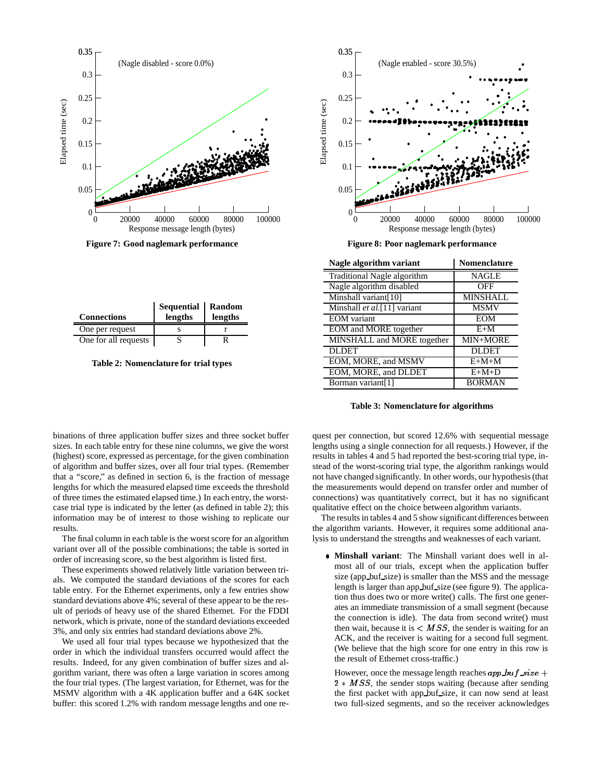

**Figure 7: Good naglemark performance**

| <b>Connections</b>   | Sequential<br>lengths | Random<br>lengths |
|----------------------|-----------------------|-------------------|
| One per request      |                       |                   |
| One for all requests |                       |                   |

**Table 2: Nomenclature for trial types**

binations of three application buffer sizes and three socket buffer sizes. In each table entry for these nine columns, we give the worst (highest) score, expressed as percentage, for the given combination of algorithm and buffer sizes, over all four trial types. (Remember that a "score," as defined in section 6, is the fraction of message lengths for which the measured elapsed time exceeds the threshold of three times the estimated elapsed time.) In each entry, the worstcase trial type is indicated by the letter (as defined in table 2); this information may be of interest to those wishing to replicate our results.

The final column in each table is the worst score for an algorithm variant over all of the possible combinations; the table is sorted in order of increasing score, so the best algorithm is listed first.

These experiments showed relatively little variation between trials. We computed the standard deviations of the scores for each table entry. For the Ethernet experiments, only a few entries show standard deviations above 4%; several of these appear to be the result of periods of heavy use of the shared Ethernet. For the FDDI network, which is private, none of the standard deviations exceeded 3%, and only six entries had standard deviations above 2%.

We used all four trial types because we hypothesized that the order in which the individual transfers occurred would affect the results. Indeed, for any given combination of buffer sizes and algorithm variant, there was often a large variation in scores among the four trial types. (The largest variation, for Ethernet, was for the MSMV algorithm with a 4K application buffer and a 64K socket buffer: this scored 1.2% with random message lengths and one re-



**Figure 8: Poor naglemark performance**

| Nagle algorithm variant      | <b>Nomenclature</b> |
|------------------------------|---------------------|
| Traditional Nagle algorithm  | <b>NAGLE</b>        |
| Nagle algorithm disabled     | OFF                 |
| Minshall variant[10]         | <b>MINSHALL</b>     |
| Minshall et al.[11] variant  | <b>MSMV</b>         |
| <b>EOM</b> variant           | <b>EOM</b>          |
| <b>EOM</b> and MORE together | $E+M$               |
| MINSHALL and MORE together   | MIN+MORE            |
| <b>DLDET</b>                 | <b>DLDET</b>        |
| EOM, MORE, and MSMV          | $E+M+M$             |
| EOM, MORE, and DLDET         | $E+M+D$             |
| Borman variant[1]            | <b>BORMAN</b>       |

**Table 3: Nomenclature for algorithms**

quest per connection, but scored 12.6% with sequential message lengths using a single connection for all requests.) However, if the results in tables 4 and 5 had reported the best-scoring trial type, instead of the worst-scoring trial type, the algorithm rankings would not have changed significantly. In other words, our hypothesis (that the measurements would depend on transfer order and number of connections) was quantitatively correct, but it has no significant qualitative effect on the choice between algorithm variants.

The results in tables 4 and 5 show significant differences between the algorithm variants. However, it requires some additional analysis to understand the strengths and weaknesses of each variant.

 **Minshall variant**: The Minshall variant does well in almost all of our trials, except when the application buffer size (app buf size) is smaller than the MSS and the message length is larger than app buf size (see figure 9). The application thus does two or more write() calls. The first one generates an immediate transmission of a small segment (because the connection is idle). The data from second write() must then wait, because it is  $\langle \, MSS \, , \, \rangle$  the sender is waiting for an ACK, and the receiver is waiting for a second full segment. (We believe that the high score for one entry in this row is the result of Ethernet cross-traffic.)

However, once the message length reaches  $app_buf\_size +$  $2 * MSS$ , the sender stops waiting (because after sending the first packet with app buf size, it can now send at least two full-sized segments, and so the receiver acknowledges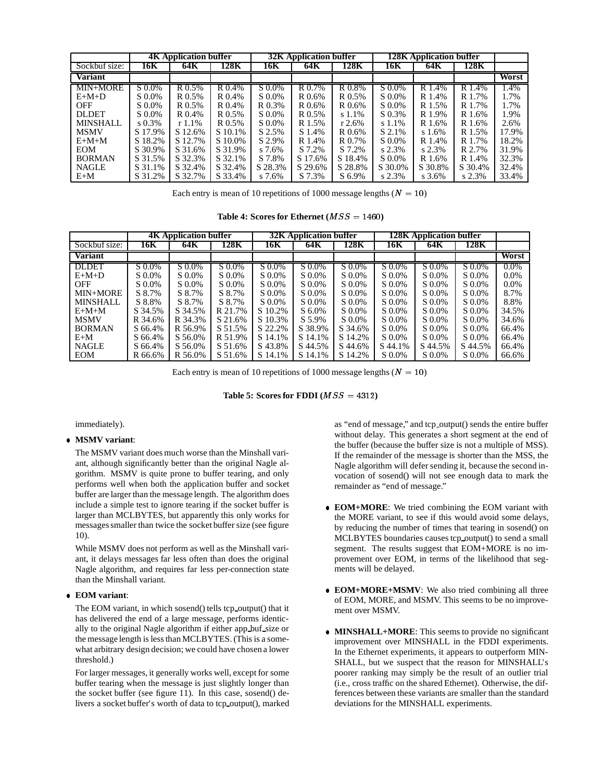|               | <b>4K Application buffer</b> |         |         |          | 32K Application buffer |          |          | <b>128K Application buffer</b> |         |       |
|---------------|------------------------------|---------|---------|----------|------------------------|----------|----------|--------------------------------|---------|-------|
| Sockbuf size: | 16K                          | 64K     | 128K    | 16K      | 64K                    | 128K     | 16K      | 64K                            | 128K    |       |
| Variant       |                              |         |         |          |                        |          |          |                                |         | Worst |
| MIN+MORE      | S 0.0%                       | R 0.5%  | R 0.4%  | S 0.0%   | R 0.7%                 | R 0.8%   | S 0.0%   | R 1.4%                         | R 1.4%  | 1.4%  |
| $E+M+D$       | S 0.0%                       | R 0.5%  | R 0.4%  | S 0.0%   | R 0.6%                 | R 0.5%   | S 0.0%   | R 1.4%                         | R 1.7%  | 1.7%  |
| <b>OFF</b>    | S 0.0%                       | R 0.5%  | R 0.4%  | R 0.3%   | R 0.6%                 | R 0.6%   | S 0.0%   | R 1.5%                         | R 1.7%  | 1.7%  |
| <b>DLDET</b>  | S 0.0%                       | R 0.4%  | R 0.5%  | S 0.0%   | R 0.5%                 | $s$ 1.1% | S 0.3%   | R 1.9%                         | R 1.6%  | 1.9%  |
| MINSHALL      | $s\,0.3\%$                   | r 1.1%  | R 0.5%  | S 0.0%   | R 1.5%                 | $r$ 2.6% | $s$ 1.1% | R 1.6%                         | R 1.6%  | 2.6%  |
| <b>MSMV</b>   | S 17.9%                      | S 12.6% | S 10.1% | S 2.5%   | S 1.4%                 | R 0.6%   | S 2.1%   | s.1.6%                         | R 1.5%  | 17.9% |
| $E+M+M$       | S 18.2%                      | S 12.7% | S 10.0% | S 2.9%   | R 1.4%                 | R 0.7%   | S 0.0%   | R 1.4%                         | R 1.7%  | 18.2% |
| <b>EOM</b>    | S 30.9%                      | S 31.6% | S 31.9% | $s$ 7.6% | S 7.2%                 | S 7.2%   | $s$ 2.3% | $s$ 2.3%                       | R 2.7%  | 31.9% |
| <b>BORMAN</b> | S 31.5%                      | S 32.3% | S 32.1% | S 7.8%   | S 17.6%                | S 18.4%  | S 0.0%   | R 1.6%                         | R 1.4%  | 32.3% |
| <b>NAGLE</b>  | S 31.1%                      | S 32.4% | S 32.4% | S 28.3%  | S 29.6%                | S 28.8%  | S 30.0%  | S 30.8%                        | S 30.4% | 32.4% |
| $E+M$         | S 31.2%                      | S 32.7% | S 33.4% | s 7.6%   | S 7.3%                 | S 6.9%   | $s$ 2.3% | $s\,3.6\%$                     | s 2.3%  | 33.4% |

Each entry is mean of 10 repetitions of 1000 message lengths ( $N = 10$ )

**Table 4: Scores for Ethernet**  $(MSS = 1460)$ 

|                 | <b>4K Application buffer</b> |         |         |         | 32K Application buffer |         |         | 128K Application buffer |         |              |
|-----------------|------------------------------|---------|---------|---------|------------------------|---------|---------|-------------------------|---------|--------------|
| Sockbuf size:   | 16K                          | 64K     | 128K    | 16K     | 64K                    | 128K    | 16K     | 64K                     | 128K    |              |
| <b>Variant</b>  |                              |         |         |         |                        |         |         |                         |         | <b>Worst</b> |
| <b>DLDET</b>    | S 0.0%                       | S 0.0%  | S 0.0%  | S 0.0%  | S 0.0%                 | S 0.0%  | S 0.0%  | S 0.0%                  | S 0.0%  | $0.0\%$      |
| $E+M+D$         | S 0.0%                       | S 0.0%  | S 0.0%  | S 0.0%  | S 0.0%                 | S 0.0%  | S 0.0%  | S 0.0%                  | S 0.0%  | $0.0\%$      |
| <b>OFF</b>      | S 0.0%                       | S 0.0%  | S 0.0%  | S 0.0%  | S 0.0%                 | S 0.0%  | S 0.0%  | S 0.0%                  | S 0.0%  | $0.0\%$      |
| <b>MIN+MORE</b> | S 8.7%                       | S 8.7%  | S 8.7%  | S 0.0%  | S 0.0%                 | S 0.0%  | S 0.0%  | S 0.0%                  | S 0.0%  | 8.7%         |
| <b>MINSHALL</b> | S 8.8%                       | S 8.7%  | S 8.7%  | S 0.0%  | S 0.0%                 | S 0.0%  | S 0.0%  | S 0.0%                  | S 0.0%  | 8.8%         |
| $E+M+M$         | S 34.5%                      | S 34.5% | R 21.7% | S 10.2% | S 6.0%                 | S 0.0%  | S 0.0%  | S 0.0%                  | S 0.0%  | 34.5%        |
| <b>MSMV</b>     | R 34.6%                      | R 34.3% | S 21.6% | S 10.3% | S 5.9%                 | S 0.0%  | S 0.0%  | S 0.0%                  | S 0.0%  | 34.6%        |
| <b>BORMAN</b>   | S 66.4%                      | R 56.9% | S 51.5% | S 22.2% | S 38.9%                | S 34.6% | S 0.0%  | S 0.0%                  | S 0.0%  | 66.4%        |
| $E+M$           | S 66.4%                      | S 56.0% | R 51.9% | S 14.1% | S 14.1%                | S 14.2% | S 0.0%  | S 0.0%                  | S 0.0%  | 66.4%        |
| <b>NAGLE</b>    | S 66.4%                      | S 56.0% | S 51.6% | S 43.8% | S 44.5%                | S 44.6% | S 44.1% | S 44.5%                 | S 44.5% | 66.4%        |
| <b>EOM</b>      | R 66.6%                      | R 56.0% | S 51.6% | S 14.1% | S 14.1%                | S 14.2% | S 0.0%  | S 0.0%                  | S 0.0%  | 66.6%        |

Each entry is mean of 10 repetitions of 1000 message lengths ( $N = 10$ )

**Table 5: Scores for FDDI** ( $MSS = 4312$ )

immediately).

#### **MSMV variant**:

The MSMV variant does much worse than the Minshall variant, although significantly better than the original Nagle algorithm. MSMV is quite prone to buffer tearing, and only performs well when both the application buffer and socket buffer are larger than the message length. The algorithm does include a simple test to ignore tearing if the socket buffer is larger than MCLBYTES, but apparently this only works for messages smaller than twice the socket buffer size (see figure 10).

While MSMV does not perform as well as the Minshall variant, it delays messages far less often than does the original Nagle algorithm, and requires far less per-connection state than the Minshall variant.

#### **EOM variant**:

The EOM variant, in which sosend() tells tcp\_output() that it has delivered the end of a large message, performs identically to the original Nagle algorithm if either app buf size or the message length is less than MCLBYTES. (This is a somewhat arbitrary design decision; we could have chosen a lower threshold.)

For larger messages, it generally works well, except for some buffer tearing when the message is just slightly longer than the socket buffer (see figure 11). In this case, sosend() delivers a socket buffer's worth of data to tcp output(), marked as "end of message," and tcp output() sends the entire buffer without delay. This generates a short segment at the end of the buffer (because the buffer size is not a multiple of MSS). If the remainder of the message is shorter than the MSS, the Nagle algorithm will defer sending it, because the second invocation of sosend() will not see enough data to mark the remainder as "end of message."

- **EOM+MORE**: We tried combining the EOM variant with the MORE variant, to see if this would avoid some delays, by reducing the number of times that tearing in sosend() on MCLBYTES boundaries causes tcp\_output() to send a small segment. The results suggest that EOM+MORE is no improvement over EOM, in terms of the likelihood that segments will be delayed.
- **EOM+MORE+MSMV**: We also tried combining all three of EOM, MORE, and MSMV. This seems to be no improvement over MSMV.
- **MINSHALL+MORE**: This seems to provide no significant improvement over MINSHALL in the FDDI experiments. In the Ethernet experiments, it appears to outperform MIN-SHALL, but we suspect that the reason for MINSHALL's poorer ranking may simply be the result of an outlier trial (i.e., cross traffic on the shared Ethernet). Otherwise, the differences between these variants are smaller than the standard deviations for the MINSHALL experiments.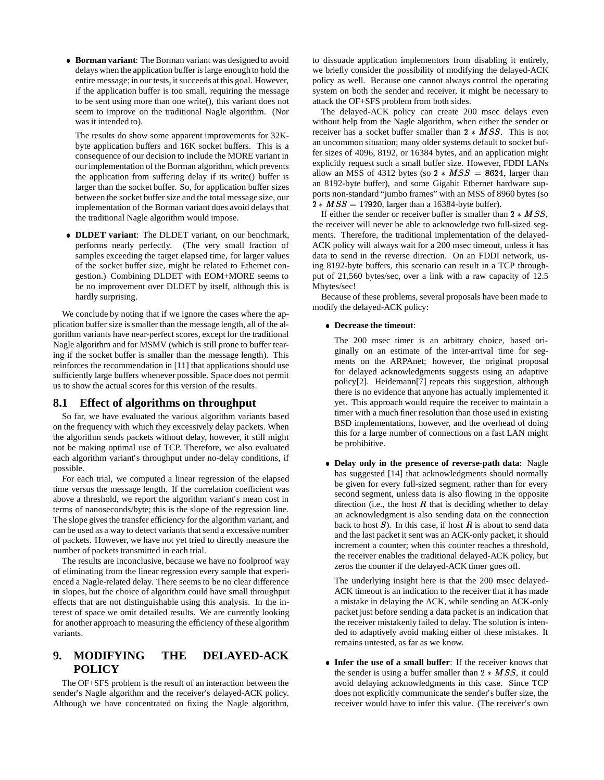**Borman variant**: The Borman variant was designed to avoid delays when the application buffer is large enough to hold the entire message; in our tests, it succeedsat this goal. However, if the application buffer is too small, requiring the message to be sent using more than one write(), this variant does not seem to improve on the traditional Nagle algorithm. (Nor was it intended to).

The results do show some apparent improvements for 32Kbyte application buffers and 16K socket buffers. This is a consequence of our decision to include the MORE variant in our implementation of the Borman algorithm, which prevents the application from suffering delay if its write() buffer is larger than the socket buffer. So, for application buffer sizes between the socket buffer size and the total message size, our implementation of the Borman variant does avoid delays that the traditional Nagle algorithm would impose.

 **DLDET variant**: The DLDET variant, on our benchmark, performs nearly perfectly. (The very small fraction of samples exceeding the target elapsed time, for larger values of the socket buffer size, might be related to Ethernet congestion.) Combining DLDET with EOM+MORE seems to be no improvement over DLDET by itself, although this is hardly surprising.

We conclude by noting that if we ignore the cases where the application buffer size is smaller than the message length, all of the algorithm variants have near-perfect scores, except for the traditional Nagle algorithm and for MSMV (which is still prone to buffer tearing if the socket buffer is smaller than the message length). This reinforces the recommendation in [11] that applications should use sufficiently large buffers whenever possible. Space does not permit us to show the actual scores for this version of the results.

#### **8.1 Effect of algorithms on throughput**

So far, we have evaluated the various algorithm variants based on the frequency with which they excessively delay packets. When the algorithm sends packets without delay, however, it still might not be making optimal use of TCP. Therefore, we also evaluated each algorithm variant's throughput under no-delay conditions, if possible.

For each trial, we computed a linear regression of the elapsed time versus the message length. If the correlation coefficient was above a threshold, we report the algorithm variant's mean cost in terms of nanoseconds/byte; this is the slope of the regression line. The slope gives the transfer efficiency for the algorithm variant, and can be used as a way to detect variants that send a excessive number of packets. However, we have not yet tried to directly measure the number of packets transmitted in each trial.

The results are inconclusive, because we have no foolproof way of eliminating from the linear regression every sample that experienced a Nagle-related delay. There seems to be no clear difference in slopes, but the choice of algorithm could have small throughput effects that are not distinguishable using this analysis. In the interest of space we omit detailed results. We are currently looking for another approach to measuring the efficiency of these algorithm variants.

# **9. MODIFYING THE DELAYED-ACK POLICY**

The OF+SFS problem is the result of an interaction between the sender's Nagle algorithm and the receiver's delayed-ACK policy. Although we have concentrated on fixing the Nagle algorithm,

to dissuade application implementors from disabling it entirely, we briefly consider the possibility of modifying the delayed-ACK policy as well. Because one cannot always control the operating system on both the sender and receiver, it might be necessary to attack the OF+SFS problem from both sides.

The delayed-ACK policy can create 200 msec delays even without help from the Nagle algorithm, when either the sender or receiver has a socket buffer smaller than  $2 * MSS$ . This is not an uncommon situation; many older systems default to socket buffer sizes of 4096, 8192, or 16384 bytes, and an application might explicitly request such a small buffer size. However, FDDI LANs allow an MSS of 4312 bytes (so  $2 * MSS = 8624$ , larger than an 8192-byte buffer), and some Gigabit Ethernet hardware supports non-standard "jumbo frames" with an MSS of 8960 bytes (so  $2 * MSS = 17920$ , larger than a 16384-byte buffer).

If either the sender or receiver buffer is smaller than  $2 * MSS$ , the receiver will never be able to acknowledge two full-sized segments. Therefore, the traditional implementation of the delayed-ACK policy will always wait for a 200 msec timeout, unless it has data to send in the reverse direction. On an FDDI network, using 8192-byte buffers, this scenario can result in a TCP throughput of 21,560 bytes/sec, over a link with a raw capacity of 12.5 Mbytes/sec!

Because of these problems, several proposals have been made to modify the delayed-ACK policy:

#### **Decrease the timeout**:

The 200 msec timer is an arbitrary choice, based originally on an estimate of the inter-arrival time for segments on the ARPAnet; however, the original proposal for delayed acknowledgments suggests using an adaptive policy[2]. Heidemann[7] repeats this suggestion, although there is no evidence that anyone has actually implemented it yet. This approach would require the receiver to maintain a timer with a much finer resolution than those used in existing BSD implementations, however, and the overhead of doing this for a large number of connections on a fast LAN might be prohibitive.

 **Delay only in the presence of reverse-path data**: Nagle has suggested [14] that acknowledgments should normally be given for every full-sized segment, rather than for every second segment, unless data is also flowing in the opposite direction (i.e., the host  $R$  that is deciding whether to delay an acknowledgment is also sending data on the connection back to host  $S$ ). In this case, if host  $R$  is about to send data and the last packet it sent was an ACK-only packet, it should increment a counter; when this counter reaches a threshold, the receiver enables the traditional delayed-ACK policy, but zeros the counter if the delayed-ACK timer goes off.

The underlying insight here is that the 200 msec delayed-ACK timeout is an indication to the receiver that it has made a mistake in delaying the ACK, while sending an ACK-only packet just before sending a data packet is an indication that the receiver mistakenly failed to delay. The solution is intended to adaptively avoid making either of these mistakes. It remains untested, as far as we know.

 **Infer the use of a small buffer**: If the receiver knows that the sender is using a buffer smaller than  $2 * MSS$ , it could avoid delaying acknowledgments in this case. Since TCP does not explicitly communicate the sender's buffer size, the receiver would have to infer this value. (The receiver's own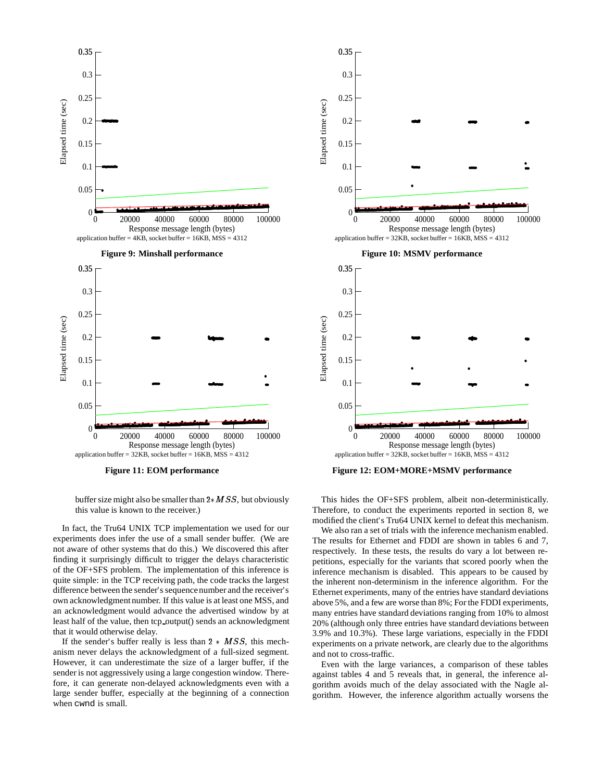

**Figure 11: EOM performance**



In fact, the Tru64 UNIX TCP implementation we used for our experiments does infer the use of a small sender buffer. (We are not aware of other systems that do this.) We discovered this after finding it surprisingly difficult to trigger the delays characteristic of the OF+SFS problem. The implementation of this inference is quite simple: in the TCP receiving path, the code tracks the largest difference between the sender's sequencenumber and the receiver's own acknowledgmentnumber. If this value is at least one MSS, and an acknowledgment would advance the advertised window by at least half of the value, then tcp output() sends an acknowledgment that it would otherwise delay.

If the sender's buffer really is less than  $2 * MSS$ , this mechanism never delays the acknowledgment of a full-sized segment. However, it can underestimate the size of a larger buffer, if the sender is not aggressively using a large congestion window. Therefore, it can generate non-delayed acknowledgments even with a large sender buffer, especially at the beginning of a connection when cwnd is small.





This hides the OF+SFS problem, albeit non-deterministically. Therefore, to conduct the experiments reported in section 8, we modified the client's Tru64 UNIX kernel to defeat this mechanism.

We also ran a set of trials with the inference mechanism enabled. The results for Ethernet and FDDI are shown in tables 6 and 7, respectively. In these tests, the results do vary a lot between repetitions, especially for the variants that scored poorly when the inference mechanism is disabled. This appears to be caused by the inherent non-determinism in the inference algorithm. For the Ethernet experiments, many of the entries have standard deviations above 5%, and a few are worse than 8%; For the FDDI experiments, many entries have standard deviations ranging from 10% to almost 20% (although only three entries have standard deviations between 3.9% and 10.3%). These large variations, especially in the FDDI experiments on a private network, are clearly due to the algorithms and not to cross-traffic.

Even with the large variances, a comparison of these tables against tables 4 and 5 reveals that, in general, the inference algorithm avoids much of the delay associated with the Nagle algorithm. However, the inference algorithm actually worsens the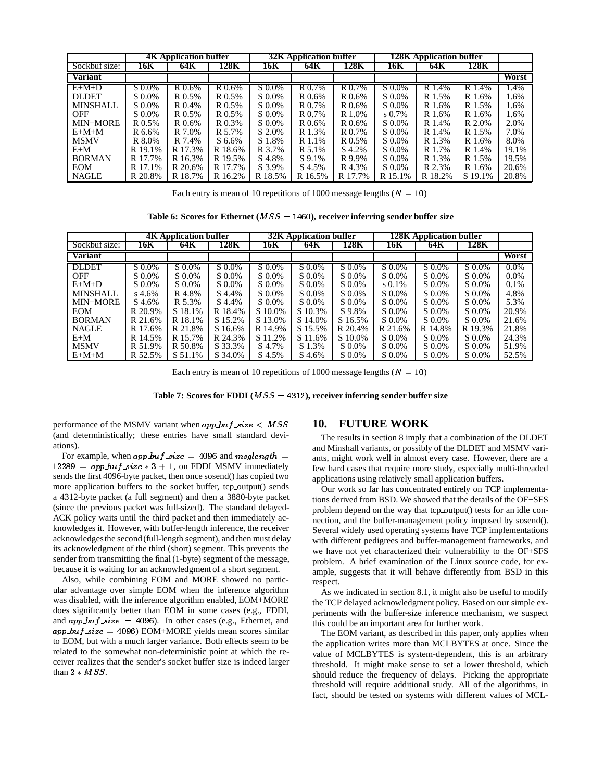|                 | <b>4K Application buffer</b> |             |             |         | <b>32K Application buffer</b> |         |          | 128K Application buffer |         |       |
|-----------------|------------------------------|-------------|-------------|---------|-------------------------------|---------|----------|-------------------------|---------|-------|
| Sockbuf size:   | 16K                          | 64K         | 128K        | 16K     | 64K                           | 128K    | 16K      | 64K                     | 128K    |       |
| <b>Variant</b>  |                              |             |             |         |                               |         |          |                         |         | Worst |
| $E+M+D$         | S 0.0%                       | $R_{0.6\%}$ | $R_{0.6\%}$ | S 0.0%  | R 0.7%                        | R 0.7%  | S 0.0%   | R 1.4%                  | R 1.4%  | 1.4%  |
| <b>DLDET</b>    | S 0.0%                       | R 0.5%      | R 0.5%      | S 0.0%  | R 0.6%                        | R 0.6%  | S 0.0%   | R 1.5%                  | R 1.6%  | 1.6%  |
| MINSHALL        | S 0.0%                       | R 0.4%      | R 0.5%      | S 0.0%  | R 0.7%                        | R 0.6%  | S 0.0%   | R 1.6%                  | R 1.5%  | 1.6%  |
| <b>OFF</b>      | S 0.0%                       | R 0.5%      | R 0.5%      | S 0.0%  | R 0.7%                        | R 1.0%  | $s$ 0.7% | R 1.6%                  | R 1.6%  | 1.6%  |
| <b>MIN+MORE</b> | R 0.5%                       | R 0.6%      | R 0.3%      | S 0.0%  | R 0.6%                        | R 0.6%  | S 0.0%   | R 1.4%                  | R 2.0%  | 2.0%  |
| $E+M+M$         | R 6.6%                       | R 7.0%      | R 5.7%      | S 2.0%  | R 1.3%                        | R 0.7%  | S 0.0%   | R 1.4%                  | R 1.5%  | 7.0%  |
| <b>MSMV</b>     | R 8.0%                       | R 7.4%      | S 6.6%      | S 1.8%  | R 1.1%                        | R 0.5%  | S 0.0%   | R 1.3%                  | R 1.6%  | 8.0%  |
| $E+M$           | R 19.1%                      | R 17.3%     | R 18.6%     | R 3.7%  | R 5.1%                        | S 4.2%  | S 0.0%   | R 1.7%                  | R 1.4%  | 19.1% |
| <b>BORMAN</b>   | R 17.7%                      | R 16.3%     | R 19.5%     | S 4.8%  | S 9.1%                        | R 9.9%  | S 0.0%   | R 1.3%                  | R 1.5%  | 19.5% |
| <b>EOM</b>      | R 17.1%                      | R 20.6%     | R 17.7%     | S 3.9%  | S 4.5%                        | R 4.3%  | S 0.0%   | R 2.3%                  | R 1.6%  | 20.6% |
| <b>NAGLE</b>    | R 20.8%                      | R 18.7%     | R 16.2%     | R 18.5% | R 16.5%                       | R 17.7% | R 15.1%  | R 18.2%                 | S 19.1% | 20.8% |

Each entry is mean of 10 repetitions of 1000 message lengths ( $N = 10$ )

**Table 6: Scores for Ethernet (**MSS = 1460**), receiver inferring sender buffer size**

|                 | <b>4K Application buffer</b> |         |         |         | 32K Application buffer |         |              | <b>128K Application buffer</b> |         |         |
|-----------------|------------------------------|---------|---------|---------|------------------------|---------|--------------|--------------------------------|---------|---------|
| Sockbuf size:   | 16K                          | 64K     | 128K    | 16K     | 64K                    | 128K    | 16K          | 64K                            | 128K    |         |
| <b>Variant</b>  |                              |         |         |         |                        |         |              |                                |         | Worst   |
| <b>DLDET</b>    | S 0.0%                       | S 0.0%  | S 0.0%  | S 0.0%  | S 0.0%                 | S 0.0%  | S 0.0%       | S 0.0%                         | S 0.0%  | $0.0\%$ |
| <b>OFF</b>      | S 0.0%                       | S 0.0%  | S 0.0%  | S 0.0%  | S 0.0%                 | S 0.0%  | S 0.0%       | S 0.0%                         | S 0.0%  | $0.0\%$ |
| $E+M+D$         | S 0.0%                       | S 0.0%  | S 0.0%  | S 0.0%  | S 0.0%                 | S 0.0%  | $s \, 0.1\%$ | S 0.0%                         | S 0.0%  | 0.1%    |
| <b>MINSHALL</b> | $s\,4.6\%$                   | R 4.8%  | S 4.4%  | S 0.0%  | S 0.0%                 | S 0.0%  | S 0.0%       | S 0.0%                         | S 0.0%  | 4.8%    |
| MIN+MORE        | S 4.6%                       | R 5.3%  | S 4.4%  | S 0.0%  | S 0.0%                 | S 0.0%  | S 0.0%       | S 0.0%                         | S 0.0%  | 5.3%    |
| <b>EOM</b>      | R 20.9%                      | S 18.1% | R 18.4% | S 10.0% | S 10.3%                | S 9.8%  | S 0.0%       | S 0.0%                         | S 0.0%  | 20.9%   |
| <b>BORMAN</b>   | R 21.6%                      | R 18.1% | S 15.2% | S 13.0% | S 14.0%                | S 16.5% | S 0.0%       | S 0.0%                         | S 0.0%  | 21.6%   |
| <b>NAGLE</b>    | R 17.6%                      | R 21.8% | S 16.6% | R 14.9% | S 15.5%                | R 20.4% | R 21.6%      | R 14.8%                        | R 19.3% | 21.8%   |
| $E+M$           | R 14.5%                      | R 15.7% | R 24.3% | S 11.2% | S 11.6%                | S 10.0% | S 0.0%       | S 0.0%                         | S 0.0%  | 24.3%   |
| <b>MSMV</b>     | R 51.9%                      | R 50.8% | S 33.3% | S 4.7%  | S 1.3%                 | S 0.0%  | S 0.0%       | S 0.0%                         | S 0.0%  | 51.9%   |
| $E+M+M$         | R 52.5%                      | S 51.1% | S 34.0% | S 4.5%  | S 4.6%                 | S 0.0%  | S 0.0%       | S 0.0%                         | S 0.0%  | 52.5%   |

Each entry is mean of 10 repetitions of 1000 message lengths ( $N = 10$ )

**Table 7: Scores for FDDI (**MSS = 4312**), receiver inferring sender buffer size**

performance of the MSMV variant when  $app_buf\_size < MSS$ (and deterministically; these entries have small standard deviations).

For example, when app\_buf\_size = 4096 and msglength =  $12289 = app\_buf\_size * 3 + 1$ , on FDDI MSMV immediately sends the first 4096-byte packet, then once sosend() has copied two more application buffers to the socket buffer, tcp output() sends a 4312-byte packet (a full segment) and then a 3880-byte packet (since the previous packet was full-sized). The standard delayed-ACK policy waits until the third packet and then immediately acknowledges it. However, with buffer-length inference, the receiver acknowledgesthe second (full-length segment), and then must delay its acknowledgment of the third (short) segment. This prevents the sender from transmitting the final (1-byte) segment of the message, because it is waiting for an acknowledgment of a short segment.

Also, while combining EOM and MORE showed no particular advantage over simple EOM when the inference algorithm was disabled, with the inference algorithm enabled, EOM+MORE does significantly better than EOM in some cases (e.g., FDDI, and  $app_buf\_size = 4096$ . In other cases (e.g., Ethernet, and  $app\_buf\_size = 4096$ ) EOM+MORE yields mean scores similar to EOM, but with a much larger variance. Both effects seem to be related to the somewhat non-deterministic point at which the receiver realizes that the sender's socket buffer size is indeed larger than  $2 * MSS$ .

#### **10. FUTURE WORK**

The results in section 8 imply that a combination of the DLDET and Minshall variants, or possibly of the DLDET and MSMV variants, might work well in almost every case. However, there are a few hard cases that require more study, especially multi-threaded applications using relatively small application buffers.

Our work so far has concentrated entirely on TCP implementations derived from BSD. We showed that the details of the OF+SFS problem depend on the way that tcp output() tests for an idle connection, and the buffer-management policy imposed by sosend(). Several widely used operating systems have TCP implementations with different pedigrees and buffer-management frameworks, and we have not yet characterized their vulnerability to the OF+SFS problem. A brief examination of the Linux source code, for example, suggests that it will behave differently from BSD in this respect.

As we indicated in section 8.1, it might also be useful to modify the TCP delayed acknowledgment policy. Based on our simple experiments with the buffer-size inference mechanism, we suspect this could be an important area for further work.

The EOM variant, as described in this paper, only applies when the application writes more than MCLBYTES at once. Since the value of MCLBYTES is system-dependent, this is an arbitrary threshold. It might make sense to set a lower threshold, which should reduce the frequency of delays. Picking the appropriate threshold will require additional study. All of the algorithms, in fact, should be tested on systems with different values of MCL-